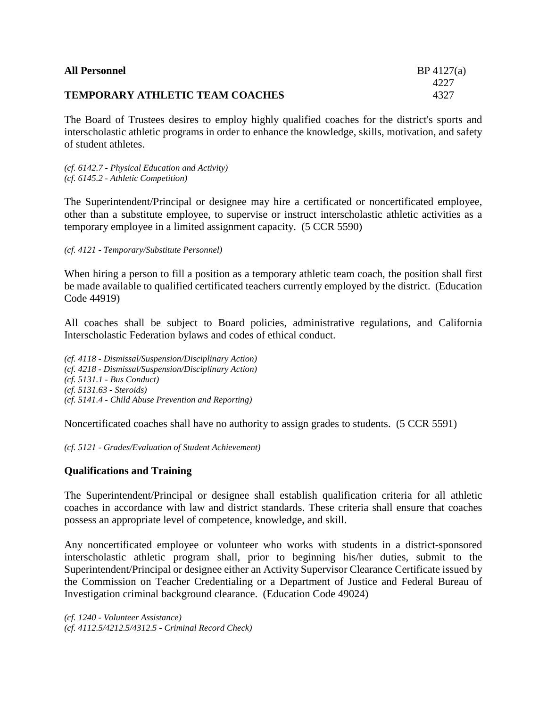| <b>All Personnel</b>                   | $BP\,4127(a)$ |
|----------------------------------------|---------------|
|                                        | 4227          |
| <b>TEMPORARY ATHLETIC TEAM COACHES</b> | 4327          |

The Board of Trustees desires to employ highly qualified coaches for the district's sports and interscholastic athletic programs in order to enhance the knowledge, skills, motivation, and safety of student athletes.

*(cf. 6142.7 - Physical Education and Activity) (cf. 6145.2 - Athletic Competition)*

The Superintendent/Principal or designee may hire a certificated or noncertificated employee, other than a substitute employee, to supervise or instruct interscholastic athletic activities as a temporary employee in a limited assignment capacity. (5 CCR 5590)

*(cf. 4121 - Temporary/Substitute Personnel)*

When hiring a person to fill a position as a temporary athletic team coach, the position shall first be made available to qualified certificated teachers currently employed by the district. (Education Code 44919)

All coaches shall be subject to Board policies, administrative regulations, and California Interscholastic Federation bylaws and codes of ethical conduct.

*(cf. 4118 - Dismissal/Suspension/Disciplinary Action) (cf. 4218 - Dismissal/Suspension/Disciplinary Action) (cf. 5131.1 - Bus Conduct) (cf. 5131.63 - Steroids) (cf. 5141.4 - Child Abuse Prevention and Reporting)*

Noncertificated coaches shall have no authority to assign grades to students. (5 CCR 5591)

*(cf. 5121 - Grades/Evaluation of Student Achievement)*

## **Qualifications and Training**

The Superintendent/Principal or designee shall establish qualification criteria for all athletic coaches in accordance with law and district standards. These criteria shall ensure that coaches possess an appropriate level of competence, knowledge, and skill.

Any noncertificated employee or volunteer who works with students in a district-sponsored interscholastic athletic program shall, prior to beginning his/her duties, submit to the Superintendent/Principal or designee either an Activity Supervisor Clearance Certificate issued by the Commission on Teacher Credentialing or a Department of Justice and Federal Bureau of Investigation criminal background clearance. (Education Code 49024)

*(cf. 1240 - Volunteer Assistance) (cf. 4112.5/4212.5/4312.5 - Criminal Record Check)*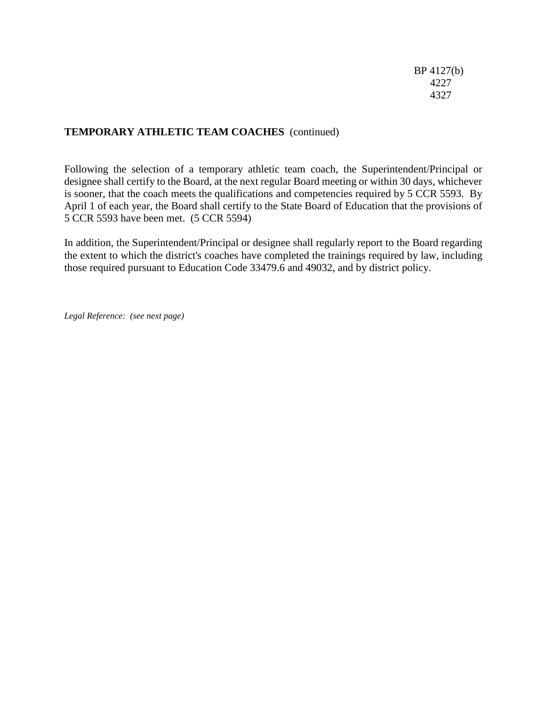# **TEMPORARY ATHLETIC TEAM COACHES** (continued)

Following the selection of a temporary athletic team coach, the Superintendent/Principal or designee shall certify to the Board, at the next regular Board meeting or within 30 days, whichever is sooner, that the coach meets the qualifications and competencies required by 5 CCR 5593. By April 1 of each year, the Board shall certify to the State Board of Education that the provisions of 5 CCR 5593 have been met. (5 CCR 5594)

In addition, the Superintendent/Principal or designee shall regularly report to the Board regarding the extent to which the district's coaches have completed the trainings required by law, including those required pursuant to Education Code 33479.6 and 49032, and by district policy.

*Legal Reference: (see next page)*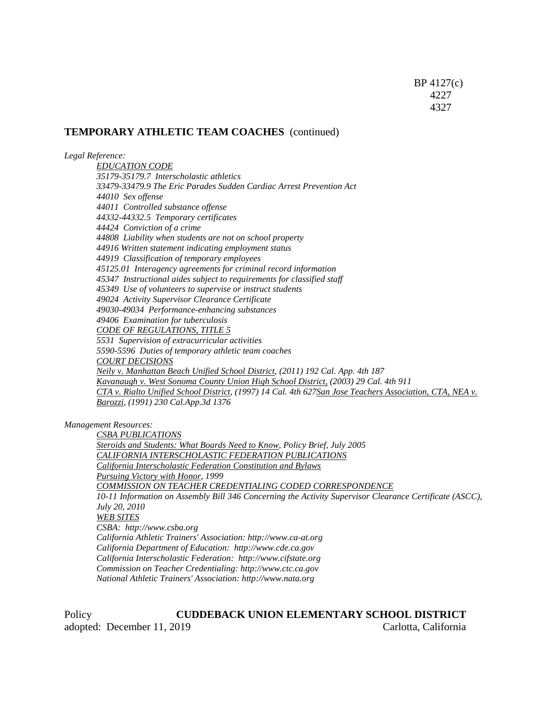#### **TEMPORARY ATHLETIC TEAM COACHES** (continued)

*Legal Reference:*

*EDUCATION CODE 35179-35179.7 Interscholastic athletics 33479-33479.9 The Eric Parades Sudden Cardiac Arrest Prevention Act 44010 Sex offense 44011 Controlled substance offense 44332-44332.5 Temporary certificates 44424 Conviction of a crime 44808 Liability when students are not on school property 44916 Written statement indicating employment status 44919 Classification of temporary employees 45125.01 Interagency agreements for criminal record information 45347 Instructional aides subject to requirements for classified staff 45349 Use of volunteers to supervise or instruct students 49024 Activity Supervisor Clearance Certificate 49030-49034 Performance-enhancing substances 49406 Examination for tuberculosis CODE OF REGULATIONS, TITLE 5 5531 Supervision of extracurricular activities 5590-5596 Duties of temporary athletic team coaches COURT DECISIONS Neily v. Manhattan Beach Unified School District, (2011) 192 Cal. App. 4th 187 Kavanaugh v. West Sonoma County Union High School District, (2003) 29 Cal. 4th 911 CTA v. Rialto Unified School District, (1997) 14 Cal. 4th 627San Jose Teachers Association, CTA, NEA v. Barozzi, (1991) 230 Cal.App.3d 1376*

*Management Resources:*

*CSBA PUBLICATIONS Steroids and Students: What Boards Need to Know, Policy Brief, July 2005 CALIFORNIA INTERSCHOLASTIC FEDERATION PUBLICATIONS California Interscholastic Federation Constitution and Bylaws Pursuing Victory with Honor, 1999 COMMISSION ON TEACHER CREDENTIALING CODED CORRESPONDENCE 10-11 Information on Assembly Bill 346 Concerning the Activity Supervisor Clearance Certificate (ASCC), July 20, 2010 WEB SITES CSBA: http://www.csba.org California Athletic Trainers' Association: http://www.ca-at.org California Department of Education: http://www.cde.ca.gov California Interscholastic Federation: http://www.cifstate.org Commission on Teacher Credentialing: http://www.ctc.ca.gov National Athletic Trainers' Association: http://www.nata.org*

Policy **CUDDEBACK UNION ELEMENTARY SCHOOL DISTRICT** adopted: December 11, 2019 Carlotta, California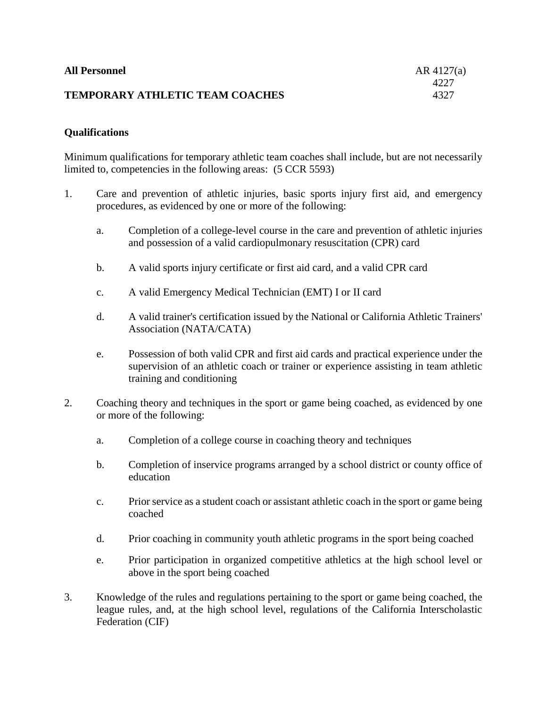| <b>All Personnel</b>                   | $AR$ 4127(a) |
|----------------------------------------|--------------|
|                                        | 4227         |
| <b>TEMPORARY ATHLETIC TEAM COACHES</b> | 4327         |

## **Qualifications**

Minimum qualifications for temporary athletic team coaches shall include, but are not necessarily limited to, competencies in the following areas: (5 CCR 5593)

- 1. Care and prevention of athletic injuries, basic sports injury first aid, and emergency procedures, as evidenced by one or more of the following:
	- a. Completion of a college-level course in the care and prevention of athletic injuries and possession of a valid cardiopulmonary resuscitation (CPR) card
	- b. A valid sports injury certificate or first aid card, and a valid CPR card
	- c. A valid Emergency Medical Technician (EMT) I or II card
	- d. A valid trainer's certification issued by the National or California Athletic Trainers' Association (NATA/CATA)
	- e. Possession of both valid CPR and first aid cards and practical experience under the supervision of an athletic coach or trainer or experience assisting in team athletic training and conditioning
- 2. Coaching theory and techniques in the sport or game being coached, as evidenced by one or more of the following:
	- a. Completion of a college course in coaching theory and techniques
	- b. Completion of inservice programs arranged by a school district or county office of education
	- c. Prior service as a student coach or assistant athletic coach in the sport or game being coached
	- d. Prior coaching in community youth athletic programs in the sport being coached
	- e. Prior participation in organized competitive athletics at the high school level or above in the sport being coached
- 3. Knowledge of the rules and regulations pertaining to the sport or game being coached, the league rules, and, at the high school level, regulations of the California Interscholastic Federation (CIF)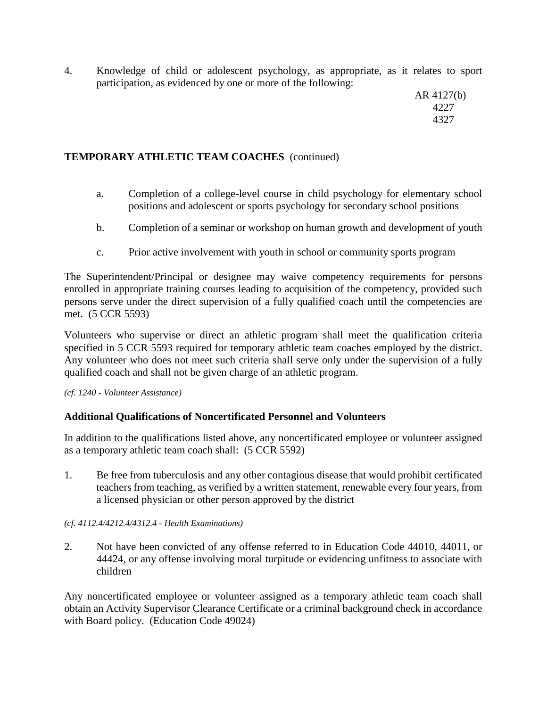4. Knowledge of child or adolescent psychology, as appropriate, as it relates to sport participation, as evidenced by one or more of the following:

> AR 4127(b) 4227 4327

## **TEMPORARY ATHLETIC TEAM COACHES** (continued)

- a. Completion of a college-level course in child psychology for elementary school positions and adolescent or sports psychology for secondary school positions
- b. Completion of a seminar or workshop on human growth and development of youth
- c. Prior active involvement with youth in school or community sports program

The Superintendent/Principal or designee may waive competency requirements for persons enrolled in appropriate training courses leading to acquisition of the competency, provided such persons serve under the direct supervision of a fully qualified coach until the competencies are met. (5 CCR 5593)

Volunteers who supervise or direct an athletic program shall meet the qualification criteria specified in 5 CCR 5593 required for temporary athletic team coaches employed by the district. Any volunteer who does not meet such criteria shall serve only under the supervision of a fully qualified coach and shall not be given charge of an athletic program.

*(cf. 1240 - Volunteer Assistance)*

## **Additional Qualifications of Noncertificated Personnel and Volunteers**

In addition to the qualifications listed above, any noncertificated employee or volunteer assigned as a temporary athletic team coach shall: (5 CCR 5592)

1. Be free from tuberculosis and any other contagious disease that would prohibit certificated teachers from teaching, as verified by a written statement, renewable every four years, from a licensed physician or other person approved by the district

#### *(cf. 4112.4/4212.4/4312.4 - Health Examinations)*

2. Not have been convicted of any offense referred to in Education Code 44010, 44011, or 44424, or any offense involving moral turpitude or evidencing unfitness to associate with children

Any noncertificated employee or volunteer assigned as a temporary athletic team coach shall obtain an Activity Supervisor Clearance Certificate or a criminal background check in accordance with Board policy. (Education Code 49024)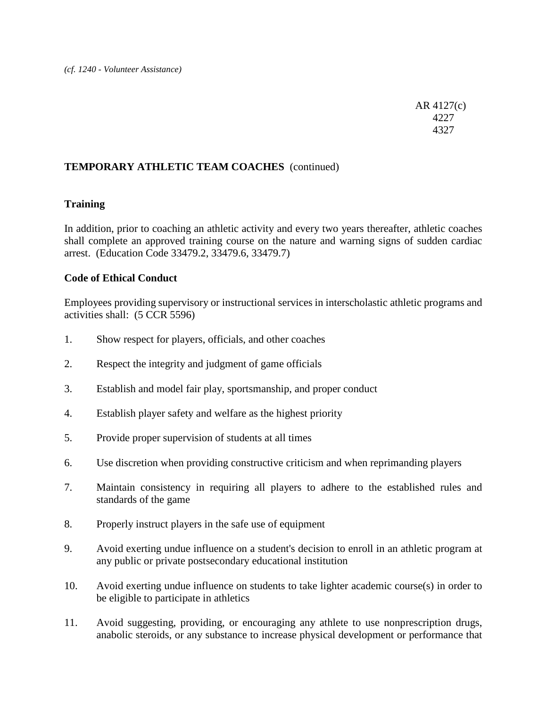AR 4127(c) 4227 4327

## **TEMPORARY ATHLETIC TEAM COACHES** (continued)

## **Training**

In addition, prior to coaching an athletic activity and every two years thereafter, athletic coaches shall complete an approved training course on the nature and warning signs of sudden cardiac arrest. (Education Code 33479.2, 33479.6, 33479.7)

### **Code of Ethical Conduct**

Employees providing supervisory or instructional services in interscholastic athletic programs and activities shall: (5 CCR 5596)

- 1. Show respect for players, officials, and other coaches
- 2. Respect the integrity and judgment of game officials
- 3. Establish and model fair play, sportsmanship, and proper conduct
- 4. Establish player safety and welfare as the highest priority
- 5. Provide proper supervision of students at all times
- 6. Use discretion when providing constructive criticism and when reprimanding players
- 7. Maintain consistency in requiring all players to adhere to the established rules and standards of the game
- 8. Properly instruct players in the safe use of equipment
- 9. Avoid exerting undue influence on a student's decision to enroll in an athletic program at any public or private postsecondary educational institution
- 10. Avoid exerting undue influence on students to take lighter academic course(s) in order to be eligible to participate in athletics
- 11. Avoid suggesting, providing, or encouraging any athlete to use nonprescription drugs, anabolic steroids, or any substance to increase physical development or performance that